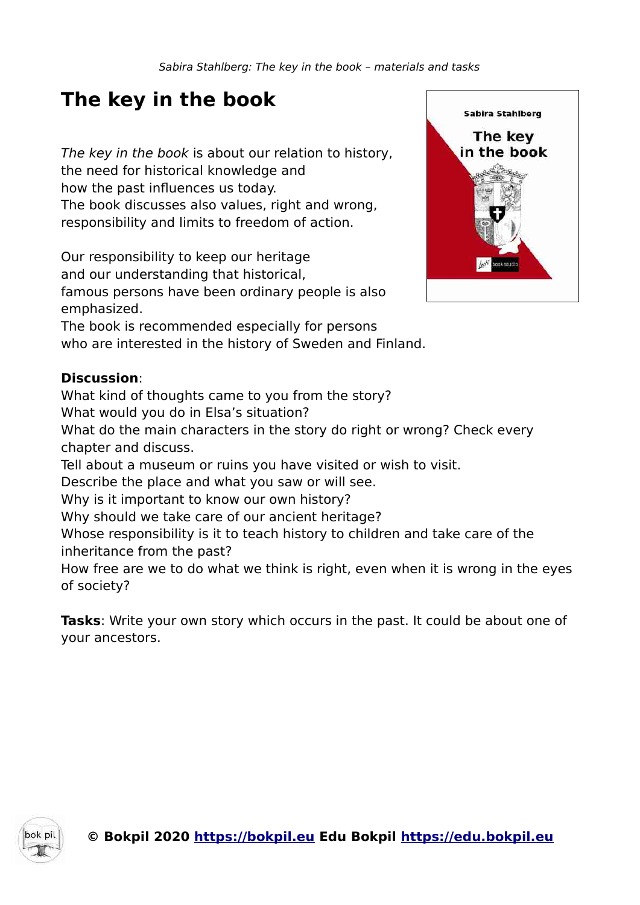# **The key in the book**

The key in the book is about our relation to history, the need for historical knowledge and how the past influences us today. The book discusses also values, right and wrong, responsibility and limits to freedom of action.

Our responsibility to keep our heritage and our understanding that historical, famous persons have been ordinary people is also emphasized.

The book is recommended especially for persons who are interested in the history of Sweden and Finland.

### **Discussion**:

What kind of thoughts came to you from the story?

What would you do in Elsa's situation?

What do the main characters in the story do right or wrong? Check every chapter and discuss.

Tell about a museum or ruins you have visited or wish to visit.

Describe the place and what you saw or will see.

Why is it important to know our own history?

Why should we take care of our ancient heritage?

Whose responsibility is it to teach history to children and take care of the inheritance from the past?

How free are we to do what we think is right, even when it is wrong in the eyes of society?

**Tasks**: Write your own story which occurs in the past. It could be about one of your ancestors.



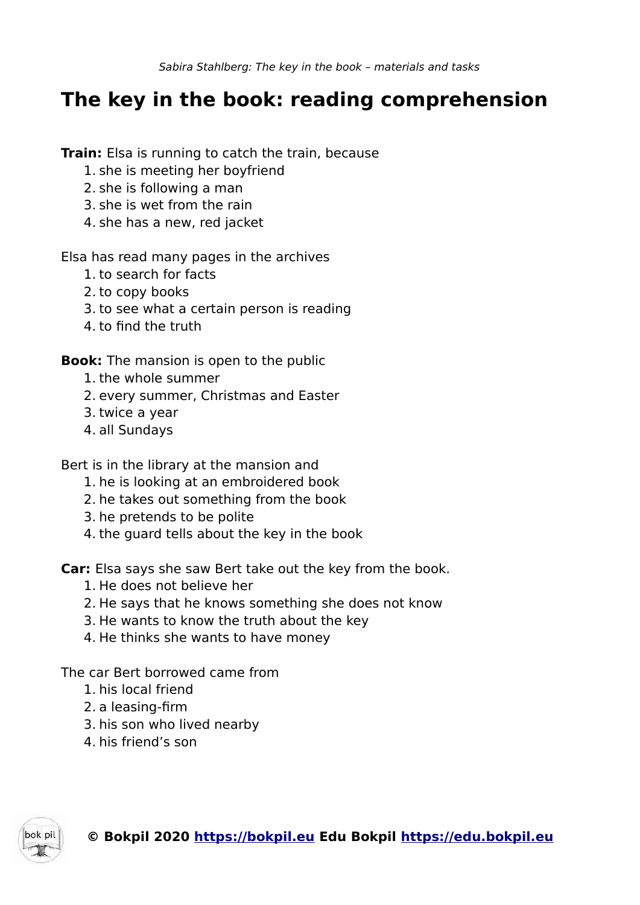## **The key in the book: reading comprehension**

**Train:** Elsa is running to catch the train, because

- 1. she is meeting her boyfriend
- 2. she is following a man
- 3. she is wet from the rain
- 4. she has a new, red jacket

Elsa has read many pages in the archives

- 1. to search for facts
- 2. to copy books
- 3. to see what a certain person is reading
- 4. to find the truth

**Book:** The mansion is open to the public

- 1. the whole summer
- 2. every summer, Christmas and Easter
- 3. twice a year
- 4. all Sundays

Bert is in the library at the mansion and

- 1. he is looking at an embroidered book
- 2. he takes out something from the book
- 3. he pretends to be polite
- 4. the guard tells about the key in the book

**Car:** Elsa says she saw Bert take out the key from the book.

- 1. He does not believe her
- 2. He says that he knows something she does not know
- 3. He wants to know the truth about the key
- 4. He thinks she wants to have money

The car Bert borrowed came from

- 1. his local friend
- 2. a leasing-firm
- 3. his son who lived nearby
- 4. his friend's son

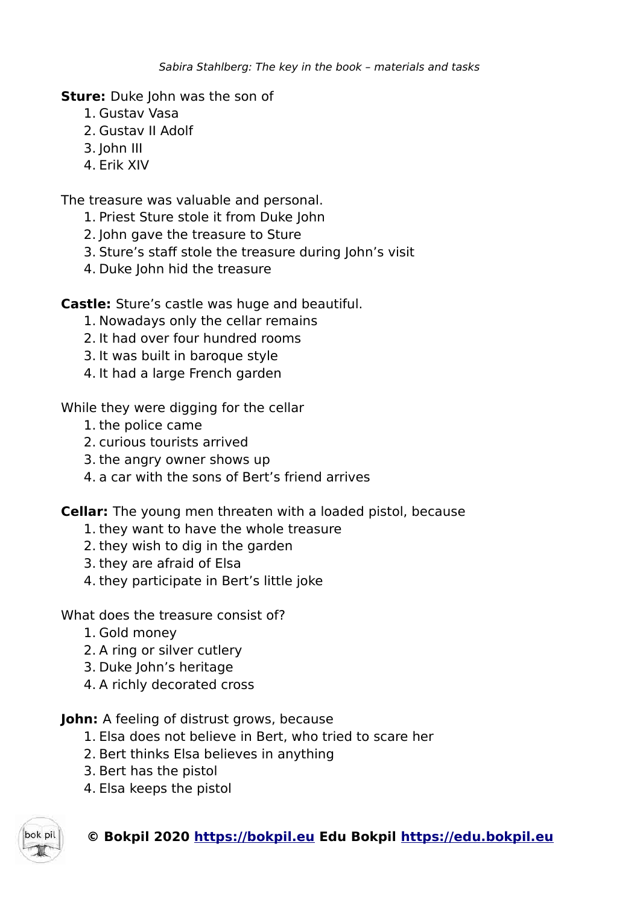**Sture:** Duke John was the son of

- 1. Gustav Vasa
- 2. Gustav II Adolf
- 3. John III
- 4. Erik XIV

The treasure was valuable and personal.

- 1. Priest Sture stole it from Duke John
- 2. John gave the treasure to Sture
- 3. Sture's staff stole the treasure during John's visit
- 4. Duke John hid the treasure

**Castle:** Sture's castle was huge and beautiful.

- 1. Nowadays only the cellar remains
- 2. It had over four hundred rooms
- 3. It was built in baroque style
- 4. It had a large French garden

While they were digging for the cellar

- 1. the police came
- 2. curious tourists arrived
- 3. the angry owner shows up
- 4. a car with the sons of Bert's friend arrives

**Cellar:** The young men threaten with a loaded pistol, because

- 1. they want to have the whole treasure
- 2. they wish to dig in the garden
- 3. they are afraid of Elsa
- 4. they participate in Bert's little joke

What does the treasure consist of?

- 1. Gold money
- 2. A ring or silver cutlery
- 3. Duke John's heritage
- 4. A richly decorated cross

**John:** A feeling of distrust grows, because

- 1. Elsa does not believe in Bert, who tried to scare her
- 2. Bert thinks Elsa believes in anything
- 3. Bert has the pistol
- 4. Elsa keeps the pistol



**© Bokpil 2020 https://bokpil.eu Edu Bokpil https://edu.bokpil.eu**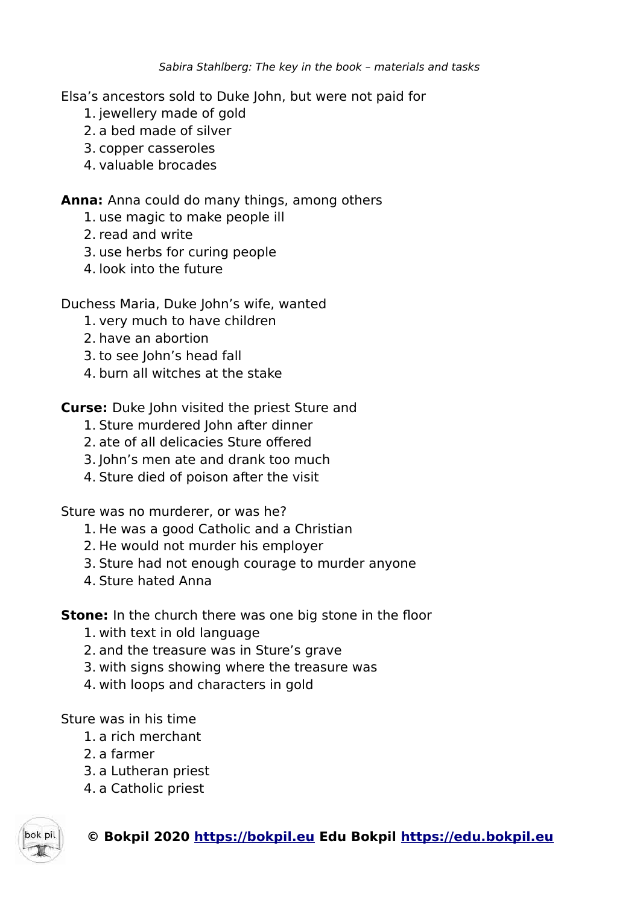Elsa's ancestors sold to Duke John, but were not paid for

- 1. jewellery made of gold
- 2. a bed made of silver
- 3. copper casseroles
- 4. valuable brocades

### **Anna:** Anna could do many things, among others

- 1. use magic to make people ill
- 2. read and write
- 3. use herbs for curing people
- 4. look into the future

#### Duchess Maria, Duke John's wife, wanted

- 1. very much to have children
- 2. have an abortion
- 3. to see John's head fall
- 4. burn all witches at the stake

**Curse:** Duke John visited the priest Sture and

- 1. Sture murdered John after dinner
- 2. ate of all delicacies Sture offered
- 3. John's men ate and drank too much
- 4. Sture died of poison after the visit

Sture was no murderer, or was he?

- 1. He was a good Catholic and a Christian
- 2. He would not murder his employer
- 3. Sture had not enough courage to murder anyone
- 4. Sture hated Anna

**Stone:** In the church there was one big stone in the floor

- 1. with text in old language
- 2. and the treasure was in Sture's grave
- 3. with signs showing where the treasure was
- 4. with loops and characters in gold

Sture was in his time

- 1. a rich merchant
- 2. a farmer
- 3. a Lutheran priest
- 4. a Catholic priest



### **© Bokpil 2020 https://bokpil.eu Edu Bokpil https://edu.bokpil.eu**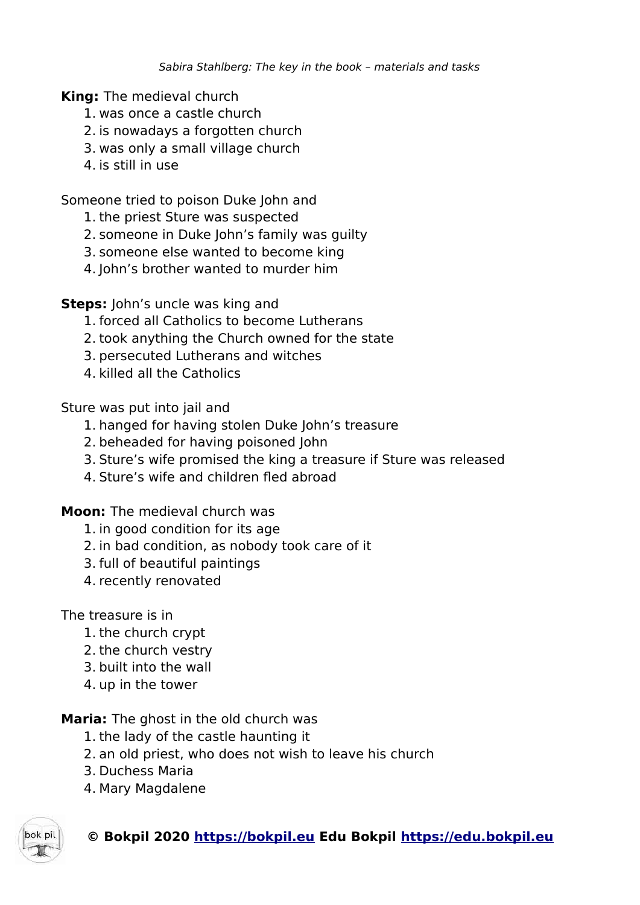**King:** The medieval church

- 1. was once a castle church
- 2. is nowadays a forgotten church
- 3. was only a small village church
- 4. is still in use

Someone tried to poison Duke John and

- 1. the priest Sture was suspected
- 2. someone in Duke John's family was guilty
- 3. someone else wanted to become king
- 4. John's brother wanted to murder him

**Steps:** John's uncle was king and

- 1. forced all Catholics to become Lutherans
- 2. took anything the Church owned for the state
- 3. persecuted Lutherans and witches
- 4. killed all the Catholics

Sture was put into jail and

- 1. hanged for having stolen Duke John's treasure
- 2. beheaded for having poisoned John
- 3. Sture's wife promised the king a treasure if Sture was released
- 4. Sture's wife and children fled abroad

**Moon:** The medieval church was

- 1. in good condition for its age
- 2. in bad condition, as nobody took care of it
- 3. full of beautiful paintings
- 4. recently renovated

#### The treasure is in

- 1. the church crypt
- 2. the church vestry
- 3. built into the wall
- 4. up in the tower

**Maria:** The ghost in the old church was

- 1. the lady of the castle haunting it
- 2. an old priest, who does not wish to leave his church
- 3. Duchess Maria
- 4. Mary Magdalene



### **© Bokpil 2020 https://bokpil.eu Edu Bokpil https://edu.bokpil.eu**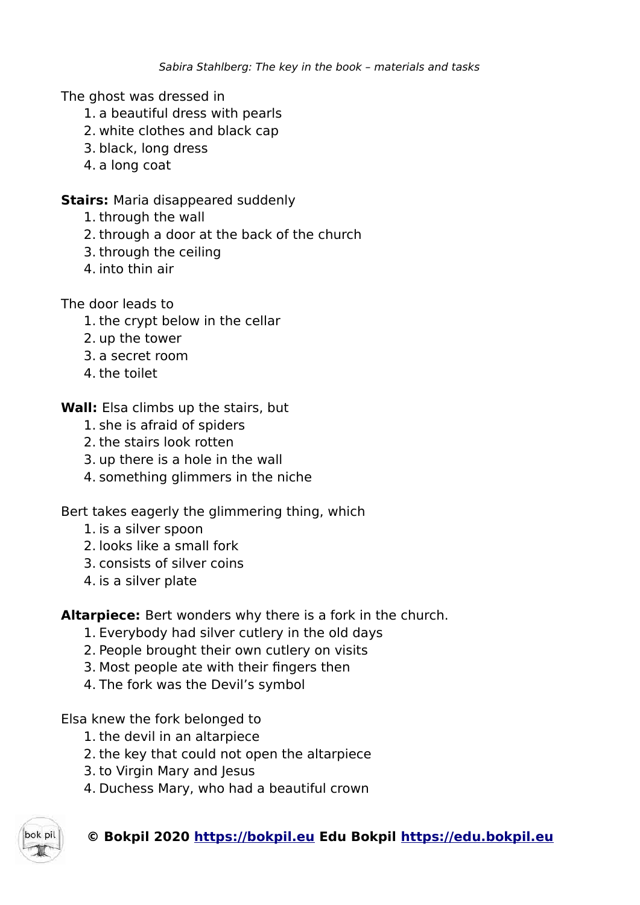The ghost was dressed in

- 1. a beautiful dress with pearls
- 2. white clothes and black cap
- 3. black, long dress
- 4. a long coat

#### **Stairs: Maria disappeared suddenly**

- 1. through the wall
- 2. through a door at the back of the church
- 3. through the ceiling
- 4. into thin air

The door leads to

- 1. the crypt below in the cellar
- 2. up the tower
- 3. a secret room
- 4. the toilet
- **Wall:** Elsa climbs up the stairs, but
	- 1. she is afraid of spiders
	- 2. the stairs look rotten
	- 3. up there is a hole in the wall
	- 4. something glimmers in the niche

Bert takes eagerly the glimmering thing, which

- 1. is a silver spoon
- 2. looks like a small fork
- 3. consists of silver coins
- 4. is a silver plate

**Altarpiece:** Bert wonders why there is a fork in the church.

- 1. Everybody had silver cutlery in the old days
- 2. People brought their own cutlery on visits
- 3. Most people ate with their fingers then
- 4. The fork was the Devil's symbol

Elsa knew the fork belonged to

- 1. the devil in an altarpiece
- 2. the key that could not open the altarpiece
- 3. to Virgin Mary and Jesus
- 4. Duchess Mary, who had a beautiful crown

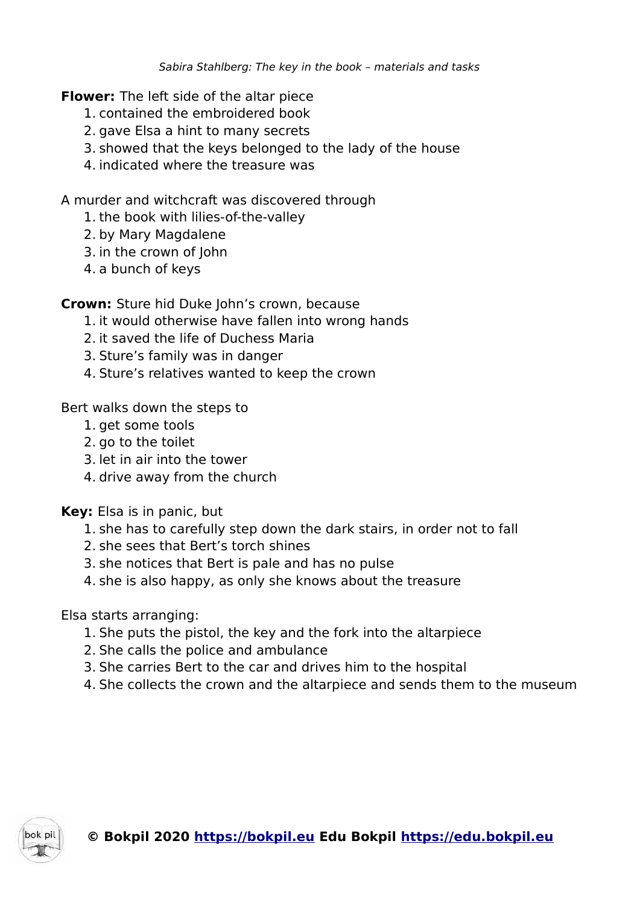**Flower:** The left side of the altar piece

- 1. contained the embroidered book
- 2. gave Elsa a hint to many secrets
- 3. showed that the keys belonged to the lady of the house
- 4. indicated where the treasure was

A murder and witchcraft was discovered through

- 1. the book with lilies-of-the-valley
- 2. by Mary Magdalene
- 3. in the crown of John
- 4. a bunch of keys

**Crown:** Sture hid Duke John's crown, because

- 1. it would otherwise have fallen into wrong hands
- 2. it saved the life of Duchess Maria
- 3. Sture's family was in danger
- 4. Sture's relatives wanted to keep the crown

Bert walks down the steps to

- 1. get some tools
- 2. go to the toilet
- 3. let in air into the tower
- 4. drive away from the church

**Key:** Elsa is in panic, but

- 1. she has to carefully step down the dark stairs, in order not to fall
- 2. she sees that Bert's torch shines
- 3. she notices that Bert is pale and has no pulse
- 4. she is also happy, as only she knows about the treasure

Elsa starts arranging:

- 1. She puts the pistol, the key and the fork into the altarpiece
- 2. She calls the police and ambulance
- 3. She carries Bert to the car and drives him to the hospital
- 4. She collects the crown and the altarpiece and sends them to the museum